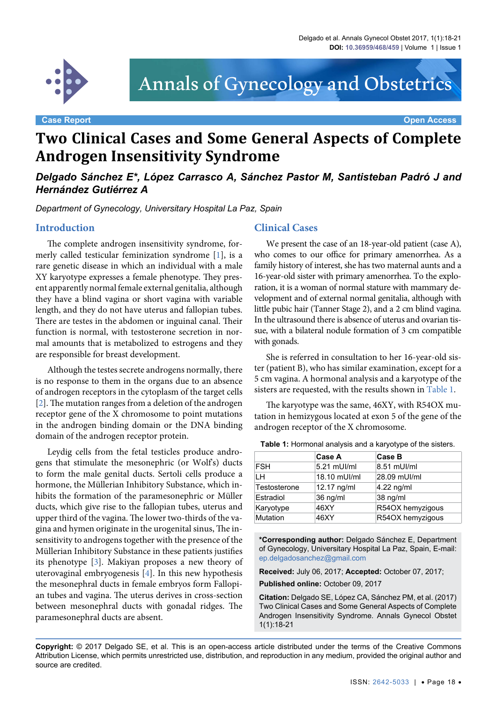

# Annals of Gynecology and Obstetrics

#### **Case Report Open Access**

# **Two Clinical Cases and Some General Aspects of Complete Androgen Insensitivity Syndrome**

*Delgado Sánchez E\*, López Carrasco A, Sánchez Pastor M, Santisteban Padró J and Hernández Gutiérrez A*

*Department of Gynecology, Universitary Hospital La Paz, Spain*

#### **Introduction**

The complete androgen insensitivity syndrome, formerly called testicular feminization syndrome [[1](#page-2-0)], is a rare genetic disease in which an individual with a male XY karyotype expresses a female phenotype. They present apparently normal female external genitalia, although they have a blind vagina or short vagina with variable length, and they do not have uterus and fallopian tubes. There are testes in the abdomen or inguinal canal. Their function is normal, with testosterone secretion in normal amounts that is metabolized to estrogens and they are responsible for breast development.

Although the testes secrete androgens normally, there is no response to them in the organs due to an absence of androgen receptors in the cytoplasm of the target cells [\[2\]](#page-2-1). The mutation ranges from a deletion of the androgen receptor gene of the X chromosome to point mutations in the androgen binding domain or the DNA binding domain of the androgen receptor protein.

Leydig cells from the fetal testicles produce androgens that stimulate the mesonephric (or Wolf's) ducts to form the male genital ducts. Sertoli cells produce a hormone, the Müllerian Inhibitory Substance, which inhibits the formation of the paramesonephric or Müller ducts, which give rise to the fallopian tubes, uterus and upper third of the vagina. The lower two-thirds of the vagina and hymen originate in the urogenital sinus, The insensitivity to androgens together with the presence of the Müllerian Inhibitory Substance in these patients justifies its phenotype [[3\]](#page-2-2). Makiyan proposes a new theory of uterovaginal embryogenesis [[4](#page-2-3)]. In this new hypothesis the mesonephral ducts in female embryos form Fallopian tubes and vagina. The uterus derives in cross-section between mesonephral ducts with gonadal ridges. The paramesonephral ducts are absent.

#### **Clinical Cases**

We present the case of an 18-year-old patient (case A), who comes to our office for primary amenorrhea. As a family history of interest, she has two maternal aunts and a 16-year-old sister with primary amenorrhea. To the exploration, it is a woman of normal stature with mammary development and of external normal genitalia, although with little pubic hair (Tanner Stage 2), and a 2 cm blind vagina. In the ultrasound there is absence of uterus and ovarian tissue, with a bilateral nodule formation of 3 cm compatible with gonads.

She is referred in consultation to her 16-year-old sister (patient B), who has similar examination, except for a 5 cm vagina. A hormonal analysis and a karyotype of the sisters are requested, with the results shown in [Table 1.](#page-0-0)

The karyotype was the same, 46XY, with R54OX mutation in hemizygous located at exon 5 of the gene of the androgen receptor of the X chromosome.

|                 | Case A       | Case B           |  |
|-----------------|--------------|------------------|--|
| <b>FSH</b>      | 5.21 mUl/ml  | 8.51 mUl/ml      |  |
| LН              | 18.10 mUI/ml | 28.09 mUI/ml     |  |
| Testosterone    | 12.17 ng/ml  | 4.22 ng/ml       |  |
| Estradiol       | 36 ng/ml     | 38 ng/ml         |  |
| Karyotype       | 46XY         | R54OX hemyzigous |  |
| <b>Mutation</b> | 46XY         | R54OX hemyzigous |  |

<span id="page-0-0"></span>**Table 1:** Hormonal analysis and a karyotype of the sisters.

**\*Corresponding author:** Delgado Sánchez E, Department of Gynecology, Universitary Hospital La Paz, Spain, E-mail: ep.delgadosanchez@gmail.com

**Received:** July 06, 2017; **Accepted:** October 07, 2017; **Published online:** October 09, 2017

**Citation:** Delgado SE, López CA, Sánchez PM, et al. (2017) Two Clinical Cases and Some General Aspects of Complete Androgen Insensitivity Syndrome. Annals Gynecol Obstet 1(1):18-21

**Copyright:** © 2017 Delgado SE, et al. This is an open-access article distributed under the terms of the Creative Commons Attribution License, which permits unrestricted use, distribution, and reproduction in any medium, provided the original author and source are credited.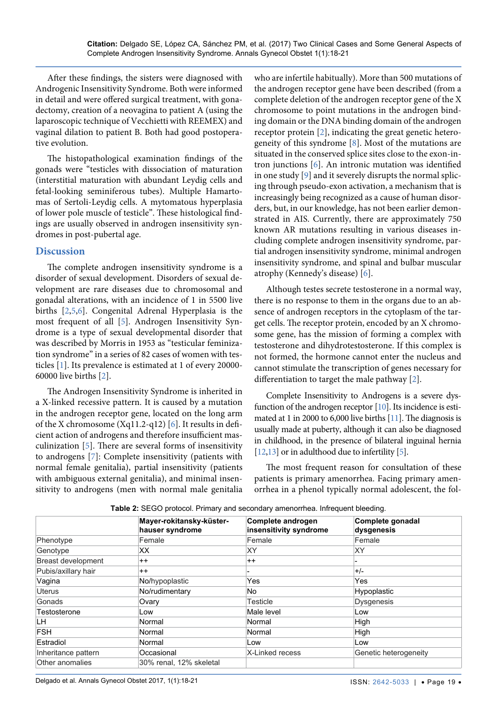After these findings, the sisters were diagnosed with Androgenic Insensitivity Syndrome. Both were informed in detail and were offered surgical treatment, with gonadectomy, creation of a neovagina to patient A (using the laparoscopic technique of Vecchietti with REEMEX) and vaginal dilation to patient B. Both had good postoperative evolution.

The histopathological examination findings of the gonads were "testicles with dissociation of maturation (interstitial maturation with abundant Leydig cells and fetal-looking seminiferous tubes). Multiple Hamartomas of Sertoli-Leydig cells. A mytomatous hyperplasia of lower pole muscle of testicle". These histological findings are usually observed in androgen insensitivity syndromes in post-pubertal age.

## **Discussion**

The complete androgen insensitivity syndrome is a disorder of sexual development. Disorders of sexual development are rare diseases due to chromosomal and gonadal alterations, with an incidence of 1 in 5500 live births [[2](#page-2-1)[,5,](#page-2-8)[6](#page-2-5)]. Congenital Adrenal Hyperplasia is the most frequent of all [[5](#page-2-8)]. Androgen Insensitivity Syndrome is a type of sexual developmental disorder that was described by Morris in 1953 as "testicular feminization syndrome" in a series of 82 cases of women with testicles [\[1\]](#page-2-0). Its prevalence is estimated at 1 of every 20000- 60000 live births [[2\]](#page-2-1).

The Androgen Insensitivity Syndrome is inherited in a X-linked recessive pattern. It is caused by a mutation in the androgen receptor gene, located on the long arm of the X chromosome (Xq11.2-q12) [[6\]](#page-2-5). It results in deficient action of androgens and therefore insufficient masculinization [\[5](#page-2-8)]. There are several forms of insensitivity to androgens [[7](#page-2-9)]: Complete insensitivity (patients with normal female genitalia), partial insensitivity (patients with ambiguous external genitalia), and minimal insensitivity to androgens (men with normal male genitalia

who are infertile habitually). More than 500 mutations of the androgen receptor gene have been described (from a complete deletion of the androgen receptor gene of the X chromosome to point mutations in the androgen binding domain or the DNA binding domain of the androgen receptor protein [\[2\]](#page-2-1), indicating the great genetic heterogeneity of this syndrome  $[8]$  $[8]$  $[8]$ . Most of the mutations are situated in the conserved splice sites close to the exon-intron junctions [[6\]](#page-2-5). An intronic mutation was identified in one study [\[9\]](#page-2-6) and it severely disrupts the normal splicing through pseudo-exon activation, a mechanism that is increasingly being recognized as a cause of human disorders, but, in our knowledge, has not been earlier demonstrated in AIS. Currently, there are approximately 750 known AR mutations resulting in various diseases including complete androgen insensitivity syndrome, partial androgen insensitivity syndrome, minimal androgen insensitivity syndrome, and spinal and bulbar muscular atrophy (Kennedy's disease) [\[6\]](#page-2-5).

Although testes secrete testosterone in a normal way, there is no response to them in the organs due to an absence of androgen receptors in the cytoplasm of the target cells. The receptor protein, encoded by an X chromosome gene, has the mission of forming a complex with testosterone and dihydrotestosterone. If this complex is not formed, the hormone cannot enter the nucleus and cannot stimulate the transcription of genes necessary for differentiation to target the male pathway [[2](#page-2-1)].

Complete Insensitivity to Androgens is a severe dysfunction of the androgen receptor [\[10\]](#page-2-7). Its incidence is estimated at 1 in 2000 to 6,000 live births [[11\]](#page-3-0). The diagnosis is usually made at puberty, although it can also be diagnosed in childhood, in the presence of bilateral inguinal hernia [\[12](#page-3-1),[13\]](#page-3-2) or in adulthood due to infertility [\[5](#page-2-8)].

The most frequent reason for consultation of these patients is primary amenorrhea. Facing primary amenorrhea in a phenol typically normal adolescent, the fol-

|                     | Mayer-rokitansky-küster-<br>hauser syndrome | Complete androgen<br>insensitivity syndrome | Complete gonadal<br>dysgenesis |
|---------------------|---------------------------------------------|---------------------------------------------|--------------------------------|
| Phenotype           | Female                                      | Female                                      | Female                         |
| Genotype            | XX                                          | ΧY                                          | XY                             |
| Breast development  | $^{++}$                                     | $++$                                        |                                |
| Pubis/axillary hair | $++$                                        |                                             | $+/-$                          |
| Vagina              | No/hypoplastic                              | Yes                                         | Yes                            |
| Uterus              | No/rudimentary                              | No                                          | Hypoplastic                    |
| Gonads              | Ovary                                       | Testicle                                    | <b>Dysgenesis</b>              |
| Testosterone        | Low                                         | Male level                                  | Low                            |
| LН                  | Normal                                      | Normal                                      | High                           |
| <b>FSH</b>          | Normal                                      | Normal                                      | High                           |
| Estradiol           | Normal                                      | Low                                         | Low                            |
| Inheritance pattern | Occasional                                  | X-Linked recess                             | Genetic heterogeneity          |
| Other anomalies     | 30% renal, 12% skeletal                     |                                             |                                |

<span id="page-1-0"></span>**Table 2:** SEGO protocol. Primary and secondary amenorrhea. Infrequent bleeding.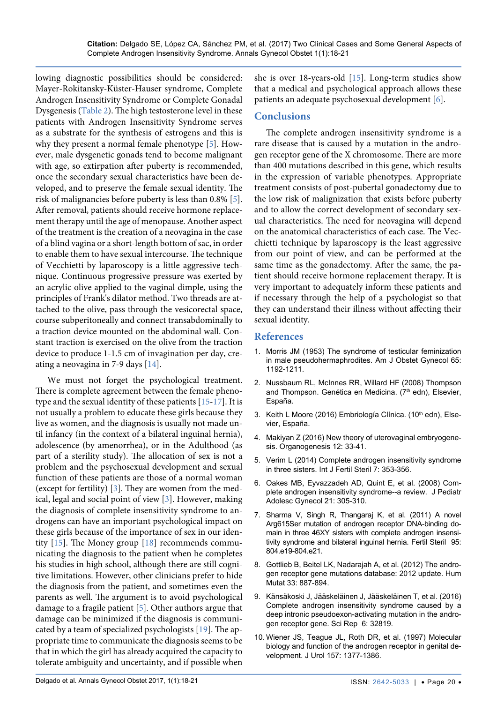lowing diagnostic possibilities should be considered: Mayer-Rokitansky-Küster-Hauser syndrome, Complete Androgen Insensitivity Syndrome or Complete Gonadal Dysgenesis [\(Table 2](#page-1-0)). The high testosterone level in these patients with Androgen Insensitivity Syndrome serves as a substrate for the synthesis of estrogens and this is why they present a normal female phenotype [\[5\]](#page-2-8). However, male dysgenetic gonads tend to become malignant with age, so extirpation after puberty is recommended, once the secondary sexual characteristics have been developed, and to preserve the female sexual identity. The risk of malignancies before puberty is less than 0.8% [[5](#page-2-8)]. After removal, patients should receive hormone replacement therapy until the age of menopause. Another aspect of the treatment is the creation of a neovagina in the case of a blind vagina or a short-length bottom of sac, in order to enable them to have sexual intercourse. The technique of Vecchietti by laparoscopy is a little aggressive technique. Continuous progressive pressure was exerted by an acrylic olive applied to the vaginal dimple, using the principles of Frank's dilator method. Two threads are attached to the olive, pass through the vesicorectal space, course subperitoneally and connect transabdominally to a traction device mounted on the abdominal wall. Constant traction is exercised on the olive from the traction device to produce 1-1.5 cm of invagination per day, creating a neovagina in 7-9 days [[14](#page-3-4)].

We must not forget the psychological treatment. There is complete agreement between the female phenotype and the sexual identity of these patients [[15](#page-3-3)[-17\]](#page-3-5). It is not usually a problem to educate these girls because they live as women, and the diagnosis is usually not made until infancy (in the context of a bilateral inguinal hernia), adolescence (by amenorrhea), or in the Adulthood (as part of a sterility study). The allocation of sex is not a problem and the psychosexual development and sexual function of these patients are those of a normal woman (except for fertility) [[3\]](#page-2-2). They are women from the medical, legal and social point of view [[3\]](#page-2-2). However, making the diagnosis of complete insensitivity syndrome to androgens can have an important psychological impact on these girls because of the importance of sex in our identity [[15](#page-3-3)]. The Money group [\[18](#page-3-6)] recommends communicating the diagnosis to the patient when he completes his studies in high school, although there are still cognitive limitations. However, other clinicians prefer to hide the diagnosis from the patient, and sometimes even the parents as well. The argument is to avoid psychological damage to a fragile patient [\[5\]](#page-2-8). Other authors argue that damage can be minimized if the diagnosis is communicated by a team of specialized psychologists [\[19\]](#page-3-7). The appropriate time to communicate the diagnosis seems to be that in which the girl has already acquired the capacity to tolerate ambiguity and uncertainty, and if possible when

she is over 18-years-old [[15](#page-3-3)]. Long-term studies show that a medical and psychological approach allows these patients an adequate psychosexual development [\[6\]](#page-2-5).

# **Conclusions**

The complete androgen insensitivity syndrome is a rare disease that is caused by a mutation in the androgen receptor gene of the X chromosome. There are more than 400 mutations described in this gene, which results in the expression of variable phenotypes. Appropriate treatment consists of post-pubertal gonadectomy due to the low risk of malignization that exists before puberty and to allow the correct development of secondary sexual characteristics. The need for neovagina will depend on the anatomical characteristics of each case. The Vecchietti technique by laparoscopy is the least aggressive from our point of view, and can be performed at the same time as the gonadectomy. After the same, the patient should receive hormone replacement therapy. It is very important to adequately inform these patients and if necessary through the help of a psychologist so that they can understand their illness without affecting their sexual identity.

### **References**

- <span id="page-2-0"></span>1. [Morris JM \(1953\) The syndrome of testicular feminization](http://www.ajog.org/article/0002-9378(53)90359-7/abstract)  [in male pseudohermaphrodites. Am J Obstet Gynecol 65:](http://www.ajog.org/article/0002-9378(53)90359-7/abstract)  [1192-1211.](http://www.ajog.org/article/0002-9378(53)90359-7/abstract)
- <span id="page-2-1"></span>2. Nussbaum RL, McInnes RR, Willard HF (2008) Thompson and Thompson. Genética en Medicina. (7<sup>th</sup> edn), Elsevier, España.
- <span id="page-2-2"></span>3. Keith L Moore (2016) Embriología Clínica. (10th edn), Elsevier, España.
- <span id="page-2-3"></span>4. Makiyan Z (2016) New theory of uterovaginal embryogenesis. Organogenesis 12: 33-41.
- <span id="page-2-8"></span>5. [Verim L \(2014\) Complete androgen insensitivity syndrome](https://www.ncbi.nlm.nih.gov/pmc/articles/PMC3901178/)  [in three sisters. Int J Fertil Steril 7: 353-356.](https://www.ncbi.nlm.nih.gov/pmc/articles/PMC3901178/)
- <span id="page-2-5"></span>6. [Oakes MB, Eyvazzadeh AD, Quint E, et al. \(2008\) Com](https://www.ncbi.nlm.nih.gov/pubmed/19064222)[plete androgen insensitivity syndrome--a review. J Pediatr](https://www.ncbi.nlm.nih.gov/pubmed/19064222)  [Adolesc Gynecol 21: 305-310.](https://www.ncbi.nlm.nih.gov/pubmed/19064222)
- <span id="page-2-9"></span>7. [Sharma V, Singh R, Thangaraj K, et al. \(2011\) A novel](https://www.ncbi.nlm.nih.gov/pubmed/20888558)  [Arg615Ser mutation of androgen receptor DNA-binding do](https://www.ncbi.nlm.nih.gov/pubmed/20888558)[main in three 46XY sisters with complete androgen insensi](https://www.ncbi.nlm.nih.gov/pubmed/20888558)[tivity syndrome and bilateral inguinal hernia. Fertil Steril 95:](https://www.ncbi.nlm.nih.gov/pubmed/20888558)  [804.e19-804.e21.](https://www.ncbi.nlm.nih.gov/pubmed/20888558)
- <span id="page-2-4"></span>8. [Gottlieb B, Beitel LK, Nadarajah A, et al. \(2012\) The andro](https://www.ncbi.nlm.nih.gov/pubmed/22334387)[gen receptor gene mutations database: 2012 update. Hum](https://www.ncbi.nlm.nih.gov/pubmed/22334387)  [Mutat 33: 887-894.](https://www.ncbi.nlm.nih.gov/pubmed/22334387)
- <span id="page-2-6"></span>9. [Känsäkoski J, Jääskeläinen J, Jääskeläinen T, et al. \(2016\)](https://www.ncbi.nlm.nih.gov/pmc/articles/PMC5016895/)  [Complete androgen insensitivity syndrome caused by a](https://www.ncbi.nlm.nih.gov/pmc/articles/PMC5016895/)  [deep intronic pseudoexon-activating mutation in the andro](https://www.ncbi.nlm.nih.gov/pmc/articles/PMC5016895/)[gen receptor gene. Sci Rep 6: 32819.](https://www.ncbi.nlm.nih.gov/pmc/articles/PMC5016895/)
- <span id="page-2-7"></span>10. [Wiener JS, Teague JL, Roth DR, et al. \(1997\) Molecular](https://www.ncbi.nlm.nih.gov/pubmed/9120959)  [biology and function of the androgen receptor in genital de](https://www.ncbi.nlm.nih.gov/pubmed/9120959)[velopment. J Urol 157: 1377-1386.](https://www.ncbi.nlm.nih.gov/pubmed/9120959)